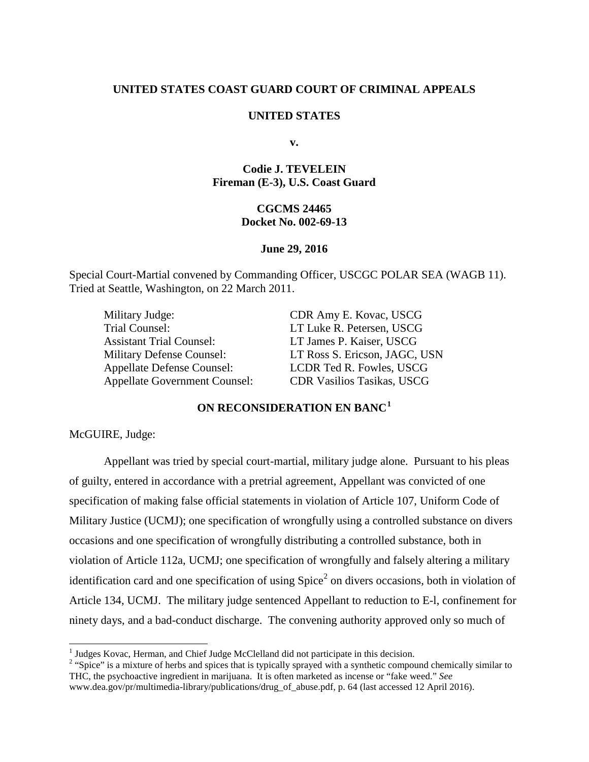## **UNITED STATES COAST GUARD COURT OF CRIMINAL APPEALS**

#### **UNITED STATES**

**v.**

# **Codie J. TEVELEIN Fireman (E-3), U.S. Coast Guard**

## **CGCMS 24465 Docket No. 002-69-13**

#### **June 29, 2016**

Special Court-Martial convened by Commanding Officer, USCGC POLAR SEA (WAGB 11). Tried at Seattle, Washington, on 22 March 2011.

Military Judge: CDR Amy E. Kovac, USCG Trial Counsel: LT Luke R. Petersen, USCG Assistant Trial Counsel: LT James P. Kaiser, USCG Appellate Defense Counsel: LCDR Ted R. Fowles, USCG Appellate Government Counsel: CDR Vasilios Tasikas, USCG

Military Defense Counsel: LT Ross S. Ericson, JAGC, USN

# **ON RECONSIDERATION EN BANC[1](#page-0-0)**

McGUIRE, Judge:

Appellant was tried by special court-martial, military judge alone. Pursuant to his pleas of guilty, entered in accordance with a pretrial agreement, Appellant was convicted of one specification of making false official statements in violation of Article 107, Uniform Code of Military Justice (UCMJ); one specification of wrongfully using a controlled substance on divers occasions and one specification of wrongfully distributing a controlled substance, both in violation of Article 112a, UCMJ; one specification of wrongfully and falsely altering a military identification card and one specification of using  $Spice<sup>2</sup>$  $Spice<sup>2</sup>$  $Spice<sup>2</sup>$  on divers occasions, both in violation of Article 134, UCMJ. The military judge sentenced Appellant to reduction to E-l, confinement for ninety days, and a bad-conduct discharge. The convening authority approved only so much of

<sup>&</sup>lt;sup>1</sup> Judges Kovac, Herman, and Chief Judge McClelland did not participate in this decision.

<span id="page-0-1"></span><span id="page-0-0"></span><sup>&</sup>lt;sup>2</sup> "Spice" is a mixture of herbs and spices that is typically sprayed with a synthetic compound chemically similar to THC, the psychoactive ingredient in marijuana. It is often marketed as incense or "fake weed." *See* www.dea.gov/pr/multimedia-library/publications/drug\_of\_abuse.pdf, p. 64 (last accessed 12 April 2016).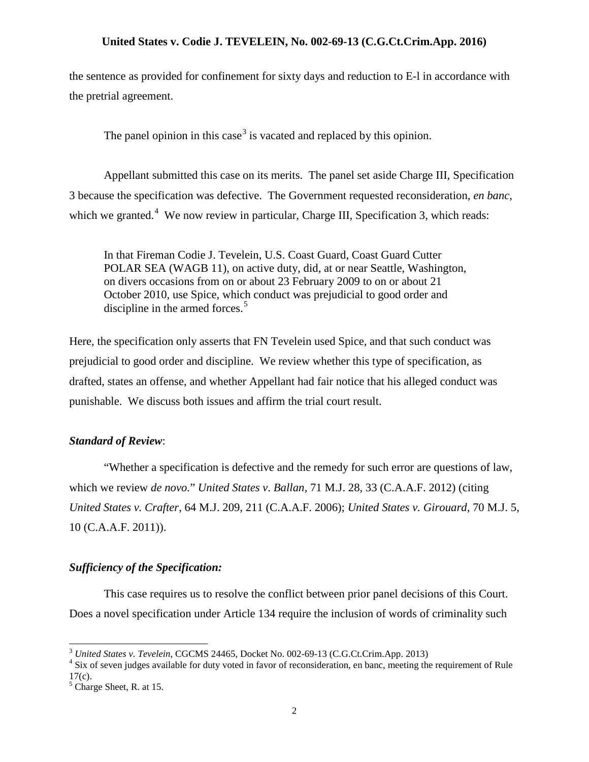the sentence as provided for confinement for sixty days and reduction to E-l in accordance with the pretrial agreement.

The panel opinion in this case<sup>[3](#page-1-0)</sup> is vacated and replaced by this opinion.

Appellant submitted this case on its merits. The panel set aside Charge III, Specification 3 because the specification was defective. The Government requested reconsideration, *en banc*, which we granted. $4$  We now review in particular, Charge III, Specification 3, which reads:

In that Fireman Codie J. Tevelein, U.S. Coast Guard, Coast Guard Cutter POLAR SEA (WAGB 11), on active duty, did, at or near Seattle, Washington, on divers occasions from on or about 23 February 2009 to on or about 21 October 2010, use Spice, which conduct was prejudicial to good order and discipline in the armed forces.<sup>[5](#page-1-2)</sup>

Here, the specification only asserts that FN Tevelein used Spice, and that such conduct was prejudicial to good order and discipline. We review whether this type of specification, as drafted, states an offense, and whether Appellant had fair notice that his alleged conduct was punishable. We discuss both issues and affirm the trial court result.

#### *Standard of Review*:

"Whether a specification is defective and the remedy for such error are questions of law, which we review *de novo.*" *United States v*. *Ballan*, 71 M.J. 28, 33 (C.A.A.F. 2012) (citing *United States v. Crafter*, 64 M.J. 209, 211 (C.A.A.F. 2006); *United States v. Girouard*, 70 M.J. 5, 10 (C.A.A.F. 2011)).

#### *Sufficiency of the Specification:*

This case requires us to resolve the conflict between prior panel decisions of this Court. Does a novel specification under Article 134 require the inclusion of words of criminality such

<span id="page-1-1"></span>

<span id="page-1-0"></span><sup>&</sup>lt;sup>3</sup> *United States v. Tevelein*, CGCMS 24465, Docket No. 002-69-13 (C.G.Ct.Crim.App. 2013) <sup>4</sup> Six of seven judges available for duty voted in favor of reconsideration, en banc, meeting the requirement of Rule  $17(c)$ .

<span id="page-1-2"></span><sup>5</sup> Charge Sheet, R. at 15.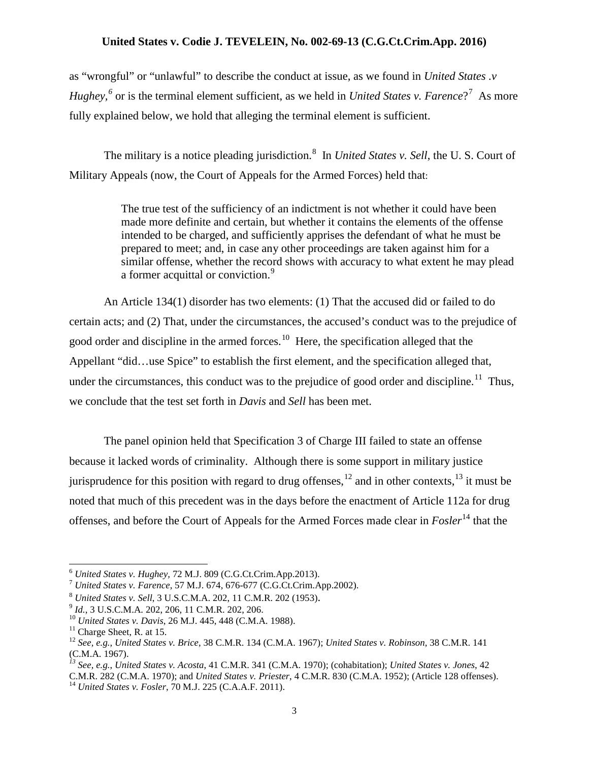as "wrongful" or "unlawful" to describe the conduct at issue, as we found in *United States .v Hughey*,<sup>[6](#page-2-0)</sup> or is the terminal element sufficient, as we held in *United States v. Farence*?<sup>[7](#page-2-1)</sup> As more fully explained below, we hold that alleging the terminal element is sufficient.

The military is a notice pleading jurisdiction.<sup>[8](#page-2-2)</sup> In *United States v. Sell*, the U.S. Court of Military Appeals (now, the Court of Appeals for the Armed Forces) held that:

> The true test of the sufficiency of an indictment is not whether it could have been made more definite and certain, but whether it contains the elements of the offense intended to be charged, and sufficiently apprises the defendant of what he must be prepared to meet; and, in case any other proceedings are taken against him for a similar offense, whether the record shows with accuracy to what extent he may plead a former acquittal or conviction.<sup>[9](#page-2-3)</sup>

An Article 134(1) disorder has two elements: (1) That the accused did or failed to do certain acts; and (2) That, under the circumstances, the accused's conduct was to the prejudice of good order and discipline in the armed forces.<sup>[10](#page-2-4)</sup> Here, the specification alleged that the Appellant "did…use Spice" to establish the first element, and the specification alleged that, under the circumstances, this conduct was to the prejudice of good order and discipline.<sup>11</sup> Thus, we conclude that the test set forth in *Davis* and *Sell* has been met.

The panel opinion held that Specification 3 of Charge III failed to state an offense because it lacked words of criminality. Although there is some support in military justice jurisprudence for this position with regard to drug offenses,  $^{12}$  $^{12}$  $^{12}$  and in other contexts,  $^{13}$  $^{13}$  $^{13}$  it must be noted that much of this precedent was in the days before the enactment of Article 112a for drug offenses, and before the Court of Appeals for the Armed Forces made clear in *Fosler*[14](#page-2-8) that the

<span id="page-2-1"></span>

<span id="page-2-2"></span>

<span id="page-2-3"></span>

<span id="page-2-4"></span>

<span id="page-2-6"></span><span id="page-2-5"></span>

<span id="page-2-0"></span><sup>&</sup>lt;sup>6</sup> United States v. Hughey, 72 M.J. 809 (C.G.Ct.Crim.App.2013).<br>
<sup>7</sup> United States v. Farence, 57 M.J. 674, 676-677 (C.G.Ct.Crim.App.2002).<br>
<sup>8</sup> United States v. Sell, 3 U.S.C.M.A. 202, [11 C.M.R. 202 \(1953\).](http://web2.westlaw.com/find/default.wl?mt=FederalGovernment&db=1443&rs=WLW14.04&tc=-1&rp=%2ffind%2fdefault.wl&findtype=Y&ordoc=1988113668&serialnum=1953002679&vr=2.0&fn=_top&sv=Split&tf=-1&referencepositiontype=S&pbc=899459D0&referenceposition=206&utid=1)<br>
<sup>9</sup> *Id.*, (C.M.A. 1967).

*<sup>13</sup> See, e.g.*, *United States v. Acosta*, 41 C.M.R. 341 (C.M.A. 1970); (cohabitation); *United States v. Jones*, 42

<span id="page-2-8"></span><span id="page-2-7"></span>C.M.R. 282 (C.M.A. 1970); and *United States v. Priester*, 4 C.M.R. 830 (C.M.A. 1952); (Article 128 offenses). 14 *United States v. Fosler*, 70 M.J. 225 (C.A.A.F. 2011).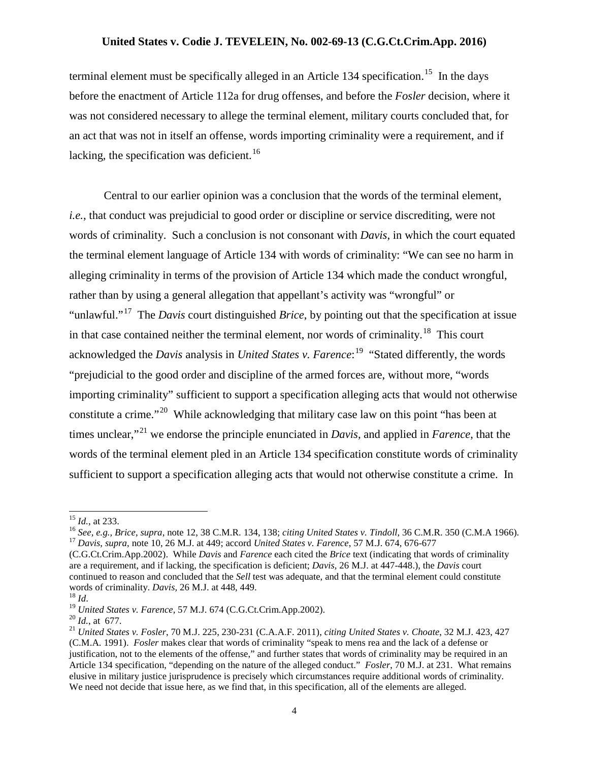terminal element must be specifically alleged in an Article 134 specification.<sup>15</sup> In the days before the enactment of Article 112a for drug offenses, and before the *Fosler* decision, where it was not considered necessary to allege the terminal element, military courts concluded that, for an act that was not in itself an offense, words importing criminality were a requirement, and if lacking, the specification was deficient.<sup>[16](#page-3-1)</sup>

Central to our earlier opinion was a conclusion that the words of the terminal element, *i.e.*, that conduct was prejudicial to good order or discipline or service discrediting, were not words of criminality. Such a conclusion is not consonant with *Davis*, in which the court equated the terminal element language of Article 134 with words of criminality: "We can see no harm in alleging criminality in terms of the provision of Article 134 which made the conduct wrongful, rather than by using a general allegation that appellant's activity was "wrongful" or "unlawful."[17](#page-3-2) The *Davis* court distinguished *Brice*, by pointing out that the specification at issue in that case contained neither the terminal element, nor words of criminality.<sup>[18](#page-3-3)</sup> This court acknowledged the *Davis* analysis in *United States v. Farence*: [19](#page-3-4) "Stated differently, the words "prejudicial to the good order and discipline of the armed forces are, without more, "words importing criminality" sufficient to support a specification alleging acts that would not otherwise constitute a crime."[20](#page-3-5) While acknowledging that military case law on this point "has been at times unclear,"[21](#page-3-6) we endorse the principle enunciated in *Davis,* and applied in *Farence*, that the words of the terminal element pled in an Article 134 specification constitute words of criminality sufficient to support a specification alleging acts that would not otherwise constitute a crime. In

<span id="page-3-1"></span>

<span id="page-3-0"></span><sup>&</sup>lt;sup>15</sup> *Id.*, at 233.<br><sup>16</sup> *See, e.g., Brice, supra, note 12, 38 C.M.R. 134, 138; citing United States v. Tindoll, 36 C.M.R. 350 (C.M.A 1966).*<br><sup>17</sup> *Davis, supra, note 10, 26 M.J. at 449; accord United States v. Farence, 5* 

<span id="page-3-2"></span><sup>(</sup>C.G.Ct.Crim.App.2002). While *Davis* and *Farence* each cited the *Brice* text (indicating that words of criminality are a requirement, and if lacking, the specification is deficient; *Davis*, 26 M.J. at 447-448.), the *Davis* court continued to reason and concluded that the *Sell* test was adequate, and that the terminal element could constitute words of criminality. *Davis*, 26 M.J. at 448, 449.<br><sup>18</sup> *Id.*<br><sup>19</sup> *United States v. Farence*, 57 M.J. 674 (C.G.Ct.Crim.App.2002).<br><sup>20</sup> *Id.*, at 677.<br><sup>21</sup> *United States v. Fosler*, 70 M.J. 225, 230-231 (C.A.A.F. 2011),

<span id="page-3-3"></span>

<span id="page-3-4"></span>

<span id="page-3-5"></span>

<span id="page-3-6"></span><sup>(</sup>C.M.A. 1991). *Fosler* makes clear that words of criminality "speak to mens rea and the lack of a defense or justification, not to the elements of the offense," and further states that words of criminality may be required in an Article 134 specification, "depending on the nature of the alleged conduct." *Fosler*, 70 M.J. at 231. What remains elusive in military justice jurisprudence is precisely which circumstances require additional words of criminality. We need not decide that issue here, as we find that, in this specification, all of the elements are alleged.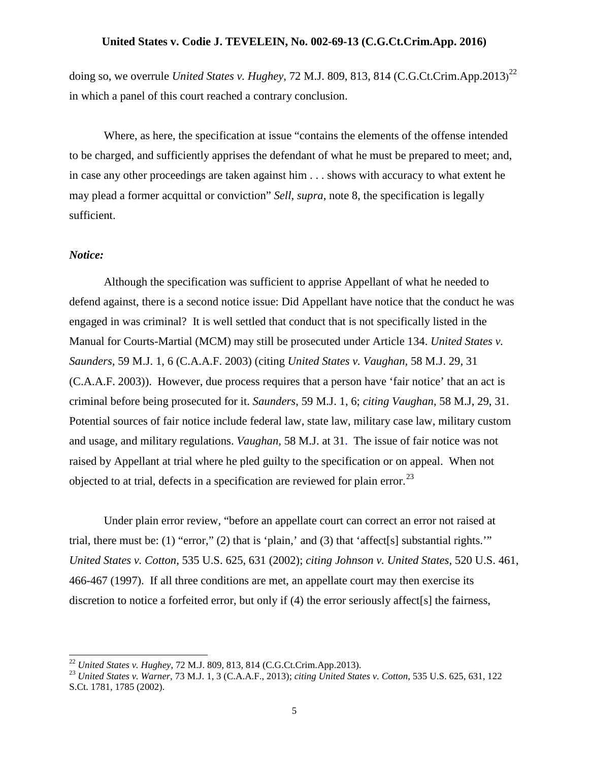doing so, we overrule *United States v. Hughey*, 72 M.J. 809, 813, 814 (C.G.Ct.Crim.App.2013) [22](#page-4-0) in which a panel of this court reached a contrary conclusion.

Where, as here, the specification at issue "contains the elements of the offense intended to be charged, and sufficiently apprises the defendant of what he must be prepared to meet; and, in case any other proceedings are taken against him . . . shows with accuracy to what extent he may plead a former acquittal or conviction" *Sell*, *supra*, note 8, the specification is legally sufficient.

#### *Notice:*

Although the specification was sufficient to apprise Appellant of what he needed to defend against, there is a second notice issue: Did Appellant have notice that the conduct he was engaged in was criminal? It is well settled that conduct that is not specifically listed in the Manual for Courts-Martial (MCM) may still be prosecuted under Article 134. *United States v. Saunders,* 59 M.J. 1, 6 (C.A.A.F. 2003) (citing *United States v. Vaughan,* 58 M.J. 29, 31 (C.A.A.F. 2003)). However, due process requires that a person have 'fair notice' that an act is criminal before being prosecuted for it. *Saunders*, 59 M.J. 1, 6; *citing Vaughan*, 58 M.J, 29, 31. Potential sources of fair notice include federal law, state law, military case law, military custom and usage, and military regulations. *Vaughan,* 58 M.J. at 31. The issue of fair notice was not raised by Appellant at trial where he pled guilty to the specification or on appeal. When not objected to at trial, defects in a specification are reviewed for plain error.<sup>23</sup>

Under plain error review, "before an appellate court can correct an error not raised at trial, there must be: (1) "error," (2) that is 'plain,' and (3) that 'affect[s] substantial rights.'" *United States v. Cotton*, 535 U.S. 625, 631 (2002); *citing Johnson v. United States*, 520 U.S. 461, 466-467 (1997). If all three conditions are met, an appellate court may then exercise its discretion to notice a forfeited error, but only if (4) the error seriously affect<sup>[s]</sup> the fairness,

<span id="page-4-1"></span><span id="page-4-0"></span><sup>22</sup> *United States v. Hughey*, 72 M.J. 809, 813, 814 (C.G.Ct.Crim.App.2013). <sup>23</sup> *United States v. Warner*, 73 M.J. 1, 3 (C.A.A.F., 2013); *citing United States v. Cotton*, 535 U.S. 625, 631, 122 S.Ct. 1781, 1785 (2002).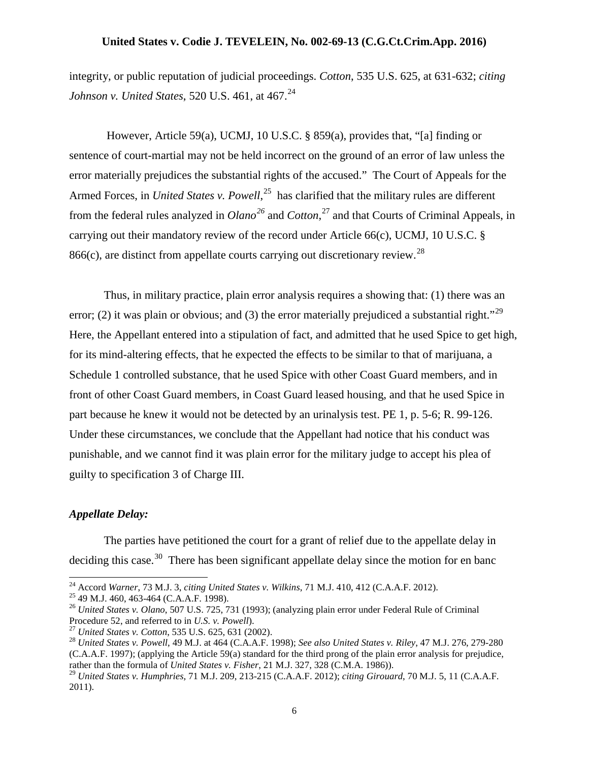integrity, or public reputation of judicial proceedings. *Cotton*, 535 U.S. 625, at 631-632; *citing Johnson v. United States,* 520 U.S. 461, at 467.<sup>[24](#page-5-0)</sup>

However, Article 59(a), UCMJ, 10 U.S.C. § 859(a), provides that, "[a] finding or sentence of court-martial may not be held incorrect on the ground of an error of law unless the error materially prejudices the substantial rights of the accused." The Court of Appeals for the Armed Forces, in *United States v. Powell*, [25](#page-5-1) has clarified that the military rules are different from the federal rules analyzed in *Olano[26](#page-5-2)* and *Cotton*, [27](#page-5-3) and that Courts of Criminal Appeals, in carrying out their mandatory review of the record under Article 66(c), UCMJ, 10 U.S.C. § 866(c), are distinct from appellate courts carrying out discretionary review.<sup>[28](#page-5-4)</sup>

Thus, in military practice, plain error analysis requires a showing that: (1) there was an error; (2) it was plain or obvious; and (3) the error materially prejudiced a substantial right."<sup>[29](#page-5-5)</sup> Here, the Appellant entered into a stipulation of fact, and admitted that he used Spice to get high, for its mind-altering effects, that he expected the effects to be similar to that of marijuana, a Schedule 1 controlled substance, that he used Spice with other Coast Guard members, and in front of other Coast Guard members, in Coast Guard leased housing, and that he used Spice in part because he knew it would not be detected by an urinalysis test. PE 1, p. 5-6; R. 99-126. Under these circumstances, we conclude that the Appellant had notice that his conduct was punishable, and we cannot find it was plain error for the military judge to accept his plea of guilty to specification 3 of Charge III.

## *Appellate Delay:*

The parties have petitioned the court for a grant of relief due to the appellate delay in deciding this case.<sup>30</sup> There has been significant appellate delay since the motion for en banc

<span id="page-5-2"></span>

<span id="page-5-1"></span><span id="page-5-0"></span><sup>&</sup>lt;sup>24</sup> Accord Warner, 73 M.J. 3, citing United States v. Wilkins, 71 M.J. 410, 412 (C.A.A.F. 2012).<br><sup>25</sup> 49 M.J. 460, 463-464 (C.A.A.F. 1998).<br><sup>26</sup> United States v. Olano, 507 U.S. 725, 731 (1993); (analyzing plain error un

<span id="page-5-6"></span>

<span id="page-5-4"></span><span id="page-5-3"></span><sup>&</sup>lt;sup>27</sup> United States v. Cotton, 535 U.S. 625, 631 (2002).<br><sup>28</sup> United States v. Powell, 49 M.J. at 464 (C.A.A.F. 1998); See also United States v. Riley, 47 M.J. 276, 279-280 (C.A.A.F. 1997); (applying the Article 59(a) standard for the third prong of the plain error analysis for prejudice, rather than the formula of *United States v. Fisher*, 21 M.J. 327, 328 (C.M.A. 1986)).

<span id="page-5-5"></span><sup>29</sup> *United States v. Humphries,* 71 M.J. 209, 213-215 (C.A.A.F. 2012); *citing Girouard*, 70 M.J. 5, 11 (C.A.A.F. 2011).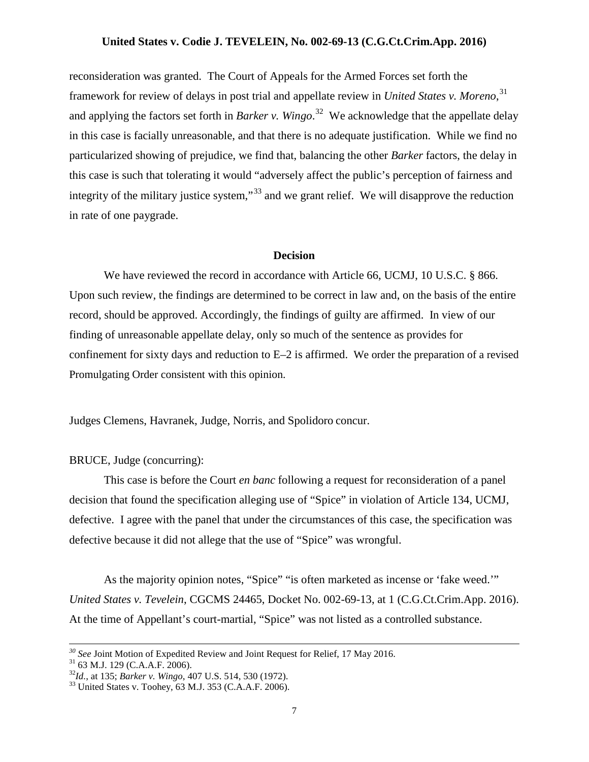reconsideration was granted. The Court of Appeals for the Armed Forces set forth the framework for review of delays in post trial and appellate review in *United States v. Moreno*, [31](#page-6-0) and applying the factors set forth in *Barker v. Wingo*. [32](#page-6-1) We acknowledge that the appellate delay in this case is facially unreasonable, and that there is no adequate justification. While we find no particularized showing of prejudice, we find that, balancing the other *Barker* factors, the delay in this case is such that tolerating it would "adversely affect the public's perception of fairness and integrity of the military justice system,"<sup>[33](#page-6-2)</sup> and we grant relief. We will disapprove the reduction in rate of one paygrade.

#### **Decision**

We have reviewed the record in accordance with Article 66, UCMJ, 10 U.S.C. § 866. Upon such review, the findings are determined to be correct in law and, on the basis of the entire record, should be approved. Accordingly, the findings of guilty are affirmed. In view of our finding of unreasonable appellate delay, only so much of the sentence as provides for confinement for sixty days and reduction to E–2 is affirmed. We order the preparation of a revised Promulgating Order consistent with this opinion.

Judges Clemens, Havranek, Judge, Norris, and Spolidoro concur.

# BRUCE, Judge (concurring):

This case is before the Court *en banc* following a request for reconsideration of a panel decision that found the specification alleging use of "Spice" in violation of Article 134, UCMJ, defective. I agree with the panel that under the circumstances of this case, the specification was defective because it did not allege that the use of "Spice" was wrongful.

As the majority opinion notes, "Spice" "is often marketed as incense or 'fake weed.'" *United States v. Tevelein*, CGCMS 24465, Docket No. 002-69-13, at 1 (C.G.Ct.Crim.App. 2016). At the time of Appellant's court-martial, "Spice" was not listed as a controlled substance.

<span id="page-6-0"></span><sup>&</sup>lt;sup>30</sup> See Joint Motion of Expedited Review and Joint Request for Relief, 17 May 2016.<br><sup>31</sup> 63 M.J. 129 (C.A.A.F. 2006).<br><sup>32</sup>*Id.*, at 135; *Barker v. Wingo*, 407 U.S. 514, 530 (1972).<br><sup>33</sup> United States v. Toohey, 63 M.J.

<span id="page-6-1"></span>

<span id="page-6-2"></span>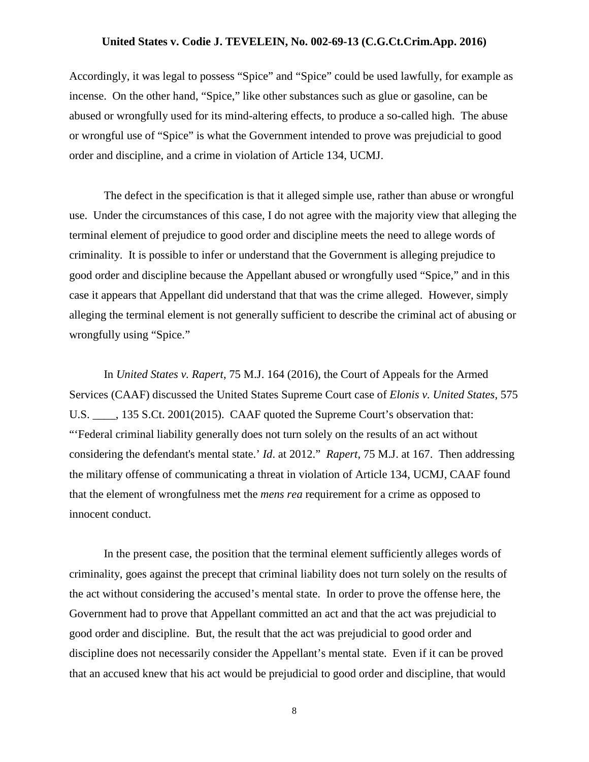Accordingly, it was legal to possess "Spice" and "Spice" could be used lawfully, for example as incense. On the other hand, "Spice," like other substances such as glue or gasoline, can be abused or wrongfully used for its mind-altering effects, to produce a so-called high. The abuse or wrongful use of "Spice" is what the Government intended to prove was prejudicial to good order and discipline, and a crime in violation of Article 134, UCMJ.

The defect in the specification is that it alleged simple use, rather than abuse or wrongful use. Under the circumstances of this case, I do not agree with the majority view that alleging the terminal element of prejudice to good order and discipline meets the need to allege words of criminality. It is possible to infer or understand that the Government is alleging prejudice to good order and discipline because the Appellant abused or wrongfully used "Spice," and in this case it appears that Appellant did understand that that was the crime alleged. However, simply alleging the terminal element is not generally sufficient to describe the criminal act of abusing or wrongfully using "Spice."

In *United States v. Rapert*, 75 M.J. 164 (2016), the Court of Appeals for the Armed Services (CAAF) discussed the United States Supreme Court case of *Elonis v. United States*, 575 U.S. \_\_\_\_, 135 S.Ct. 2001(2015). CAAF quoted the Supreme Court's observation that: "'Federal criminal liability generally does not turn solely on the results of an act without considering the defendant's mental state.' *Id*. at 2012." *Rapert*, 75 M.J. at 167. Then addressing the military offense of communicating a threat in violation of Article 134, UCMJ, CAAF found that the element of wrongfulness met the *mens rea* requirement for a crime as opposed to innocent conduct.

In the present case, the position that the terminal element sufficiently alleges words of criminality, goes against the precept that criminal liability does not turn solely on the results of the act without considering the accused's mental state. In order to prove the offense here, the Government had to prove that Appellant committed an act and that the act was prejudicial to good order and discipline. But, the result that the act was prejudicial to good order and discipline does not necessarily consider the Appellant's mental state. Even if it can be proved that an accused knew that his act would be prejudicial to good order and discipline, that would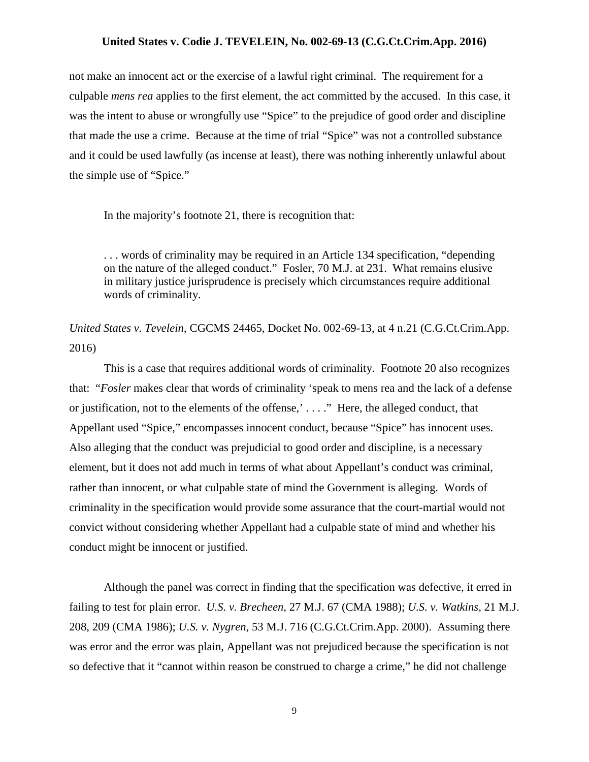not make an innocent act or the exercise of a lawful right criminal. The requirement for a culpable *mens rea* applies to the first element, the act committed by the accused. In this case, it was the intent to abuse or wrongfully use "Spice" to the prejudice of good order and discipline that made the use a crime. Because at the time of trial "Spice" was not a controlled substance and it could be used lawfully (as incense at least), there was nothing inherently unlawful about the simple use of "Spice."

In the majority's footnote 21, there is recognition that:

. . . words of criminality may be required in an Article 134 specification, "depending on the nature of the alleged conduct." Fosler, 70 M.J. at 231. What remains elusive in military justice jurisprudence is precisely which circumstances require additional words of criminality.

*United States v. Tevelein*, CGCMS 24465, Docket No. 002-69-13, at 4 n.21 (C.G.Ct.Crim.App. 2016)

This is a case that requires additional words of criminality. Footnote 20 also recognizes that: "*Fosler* makes clear that words of criminality 'speak to mens rea and the lack of a defense or justification, not to the elements of the offense,' . . . ." Here, the alleged conduct, that Appellant used "Spice," encompasses innocent conduct, because "Spice" has innocent uses. Also alleging that the conduct was prejudicial to good order and discipline, is a necessary element, but it does not add much in terms of what about Appellant's conduct was criminal, rather than innocent, or what culpable state of mind the Government is alleging. Words of criminality in the specification would provide some assurance that the court-martial would not convict without considering whether Appellant had a culpable state of mind and whether his conduct might be innocent or justified.

Although the panel was correct in finding that the specification was defective, it erred in failing to test for plain error. *U.S. v. Brecheen*, 27 M.J. 67 (CMA 1988); *U.S. v. Watkins*, 21 M.J. 208, 209 (CMA 1986); *U.S. v. Nygren*, 53 M.J. 716 (C.G.Ct.Crim.App. 2000). Assuming there was error and the error was plain, Appellant was not prejudiced because the specification is not so defective that it "cannot within reason be construed to charge a crime," he did not challenge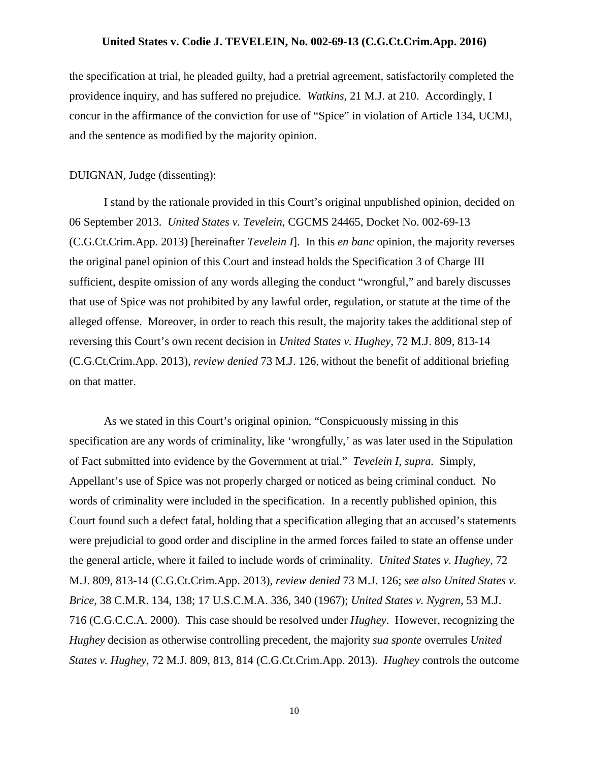the specification at trial, he pleaded guilty, had a pretrial agreement, satisfactorily completed the providence inquiry, and has suffered no prejudice. *Watkins,* 21 M.J. at 210. Accordingly, I concur in the affirmance of the conviction for use of "Spice" in violation of Article 134, UCMJ, and the sentence as modified by the majority opinion.

## DUIGNAN, Judge (dissenting):

I stand by the rationale provided in this Court's original unpublished opinion, decided on 06 September 2013. *United States v. Tevelein*, CGCMS 24465, Docket No. 002-69-13 (C.G.Ct.Crim.App. 2013) [hereinafter *Tevelein I*]. In this *en banc* opinion, the majority reverses the original panel opinion of this Court and instead holds the Specification 3 of Charge III sufficient, despite omission of any words alleging the conduct "wrongful," and barely discusses that use of Spice was not prohibited by any lawful order, regulation, or statute at the time of the alleged offense. Moreover, in order to reach this result, the majority takes the additional step of reversing this Court's own recent decision in *[United States v. Hughey](https://a.next.westlaw.com/Link/Document/FullText?findType=Y&serNum=2031745289&pubNum=0000509&originatingDoc=NE2338B80B36411D8983DF34406B5929B&refType=RP&originationContext=document&transitionType=DocumentItem&contextData=(sc.Search))*, 72 M.J. 809, 813-14 [\(C.G.Ct.Crim.App. 2013\),](https://a.next.westlaw.com/Link/Document/FullText?findType=Y&serNum=2031745289&pubNum=0000509&originatingDoc=NE2338B80B36411D8983DF34406B5929B&refType=RP&originationContext=document&transitionType=DocumentItem&contextData=(sc.Search)) *review denied* [73 M.J. 126,](https://a.next.westlaw.com/Link/Document/FullText?findType=Y&pubNum=0000509&cite=73MJ126&originatingDoc=NE2338B80B36411D8983DF34406B5929B&refType=RP&originationContext=document&transitionType=DocumentItem&contextData=(sc.Search)) without the benefit of additional briefing on that matter.

As we stated in this Court's original opinion, "Conspicuously missing in this specification are any words of criminality, like 'wrongfully,' as was later used in the Stipulation of Fact submitted into evidence by the Government at trial." *Tevelein I, supra.* Simply, Appellant's use of Spice was not properly charged or noticed as being criminal conduct. No words of criminality were included in the specification. In a recently published opinion, this Court found such a defect fatal, holding that a specification alleging that an accused's statements were prejudicial to good order and discipline in the armed forces failed to state an offense under the general article, where it failed to include words of criminality. *[United States v. Hughey](https://a.next.westlaw.com/Link/Document/FullText?findType=Y&serNum=2031745289&pubNum=0000509&originatingDoc=NE2338B80B36411D8983DF34406B5929B&refType=RP&originationContext=document&transitionType=DocumentItem&contextData=(sc.Search))*, 72 M.J. 809, 813-14 [\(C.G.Ct.Crim.App. 2013\),](https://a.next.westlaw.com/Link/Document/FullText?findType=Y&serNum=2031745289&pubNum=0000509&originatingDoc=NE2338B80B36411D8983DF34406B5929B&refType=RP&originationContext=document&transitionType=DocumentItem&contextData=(sc.Search)) *review denied* [73 M.J. 126;](https://a.next.westlaw.com/Link/Document/FullText?findType=Y&pubNum=0000509&cite=73MJ126&originatingDoc=NE2338B80B36411D8983DF34406B5929B&refType=RP&originationContext=document&transitionType=DocumentItem&contextData=(sc.Search)) *see also United States v. Brice,* 38 C.M.R. 134, 138; 17 U.S.C.M.A. 336, 340 (1967); *United States v. Nygren*, 53 M.J. 716 (C.G.C.C.A. 2000). This case should be resolved under *Hughey*. However, recognizing the *Hughey* decision as otherwise controlling precedent, the majority *sua sponte* overrules *United States v. Hughey*, 72 M.J. 809, 813, 814 (C.G.Ct.Crim.App. 2013). *Hughey* controls the outcome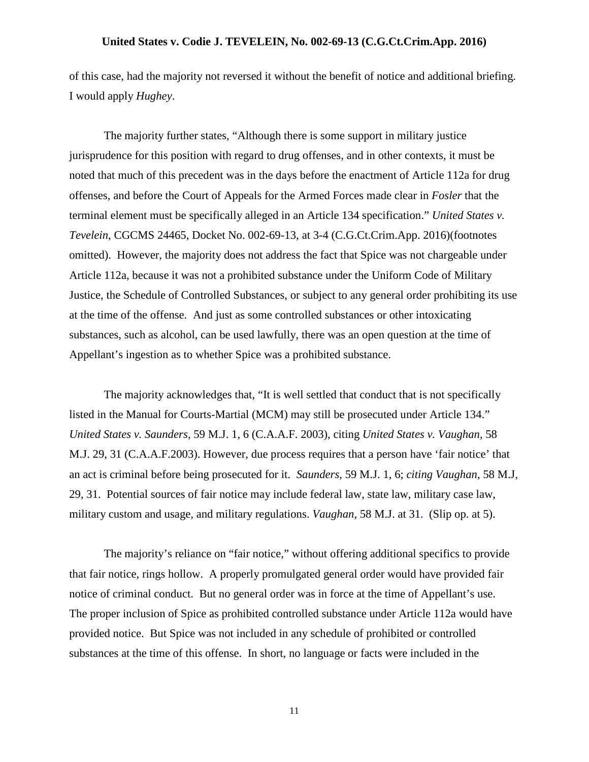of this case, had the majority not reversed it without the benefit of notice and additional briefing. I would apply *Hughey*.

The majority further states, "Although there is some support in military justice jurisprudence for this position with regard to drug offenses, and in other contexts, it must be noted that much of this precedent was in the days before the enactment of Article 112a for drug offenses, and before the Court of Appeals for the Armed Forces made clear in *Fosler* that the terminal element must be specifically alleged in an Article 134 specification." *United States v. Tevelein*, CGCMS 24465, Docket No. 002-69-13, at 3-4 (C.G.Ct.Crim.App. 2016)(footnotes omitted). However, the majority does not address the fact that Spice was not chargeable under Article 112a, because it was not a prohibited substance under the Uniform Code of Military Justice, the Schedule of Controlled Substances, or subject to any general order prohibiting its use at the time of the offense. And just as some controlled substances or other intoxicating substances, such as alcohol, can be used lawfully, there was an open question at the time of Appellant's ingestion as to whether Spice was a prohibited substance.

The majority acknowledges that, "It is well settled that conduct that is not specifically listed in the Manual for Courts-Martial (MCM) may still be prosecuted under Article 134." *United States v. Saunders,* 59 M.J. 1, 6 (C.A.A.F. 2003), citing *United States v. Vaughan,* 58 M.J. 29, 31 (C.A.A.F.2003). However, due process requires that a person have 'fair notice' that an act is criminal before being prosecuted for it. *Saunders*, 59 M.J. 1, 6; *citing Vaughan*, 58 M.J, 29, 31. Potential sources of fair notice may include federal law, state law, military case law, military custom and usage, and military regulations. *Vaughan,* 58 M.J. at 31. (Slip op. at 5).

The majority's reliance on "fair notice," without offering additional specifics to provide that fair notice, rings hollow. A properly promulgated general order would have provided fair notice of criminal conduct. But no general order was in force at the time of Appellant's use. The proper inclusion of Spice as prohibited controlled substance under Article 112a would have provided notice. But Spice was not included in any schedule of prohibited or controlled substances at the time of this offense. In short, no language or facts were included in the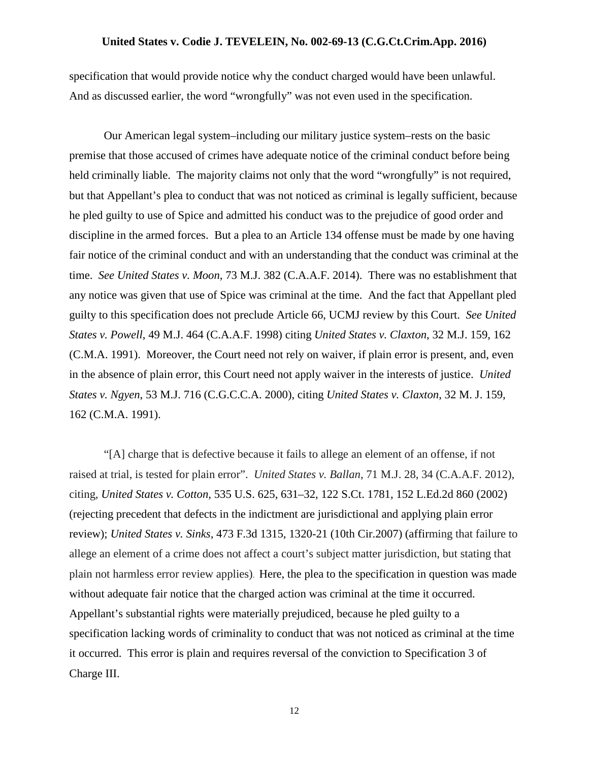specification that would provide notice why the conduct charged would have been unlawful. And as discussed earlier, the word "wrongfully" was not even used in the specification.

Our American legal system–including our military justice system–rests on the basic premise that those accused of crimes have adequate notice of the criminal conduct before being held criminally liable. The majority claims not only that the word "wrongfully" is not required, but that Appellant's plea to conduct that was not noticed as criminal is legally sufficient, because he pled guilty to use of Spice and admitted his conduct was to the prejudice of good order and discipline in the armed forces. But a plea to an Article 134 offense must be made by one having fair notice of the criminal conduct and with an understanding that the conduct was criminal at the time. *See United States v. Moon*, 73 M.J. 382 (C.A.A.F. 2014). There was no establishment that any notice was given that use of Spice was criminal at the time. And the fact that Appellant pled guilty to this specification does not preclude Article 66, UCMJ review by this Court. *See United States v. Powell*, 49 M.J. 464 (C.A.A.F. 1998) citing *United States v. Claxton*, 32 M.J. 159, 162 (C.M.A. 1991). Moreover, the Court need not rely on waiver, if plain error is present, and, even in the absence of plain error, this Court need not apply waiver in the interests of justice. *United States v. Ngyen*, 53 M.J. 716 (C.G.C.C.A. 2000), citing *United States v. Claxton*, 32 M. J. 159, 162 (C.M.A. 1991).

"[A] charge that is defective because it fails to allege an element of an offense, if not raised at trial, is tested for plain error". *United States v. Ballan*, 71 M.J. 28, 34 (C.A.A.F. 2012), citing*, United States v. Cotton,* [535 U.S. 625, 631–32, 122 S.Ct. 1781, 152 L.Ed.2d 860 \(2002\)](https://1.next.westlaw.com/Link/Document/FullText?findType=Y&serNum=2002314073&pubNum=708&originatingDoc=I5d2c357166ce11e196ddf76f9be2cc49&refType=RP&originationContext=document&transitionType=DocumentItem&contextData=(sc.Search)) (rejecting precedent that defects in the indictment are jurisdictional and applying plain error review); *United States v. Sinks,* [473 F.3d 1315, 1320-21 \(10th Cir.2007\)](https://1.next.westlaw.com/Link/Document/FullText?findType=Y&serNum=2011254416&pubNum=506&originatingDoc=I5d2c357166ce11e196ddf76f9be2cc49&refType=RP&fi=co_pp_sp_506_1320&originationContext=document&transitionType=DocumentItem&contextData=(sc.Search)#co_pp_sp_506_1320) (affirming that failure to allege an element of a crime does not affect a court's subject matter jurisdiction, but stating that plain not harmless error review applies). Here, the plea to the specification in question was made without adequate fair notice that the charged action was criminal at the time it occurred. Appellant's substantial rights were materially prejudiced, because he pled guilty to a specification lacking words of criminality to conduct that was not noticed as criminal at the time it occurred. This error is plain and requires reversal of the conviction to Specification 3 of Charge III.